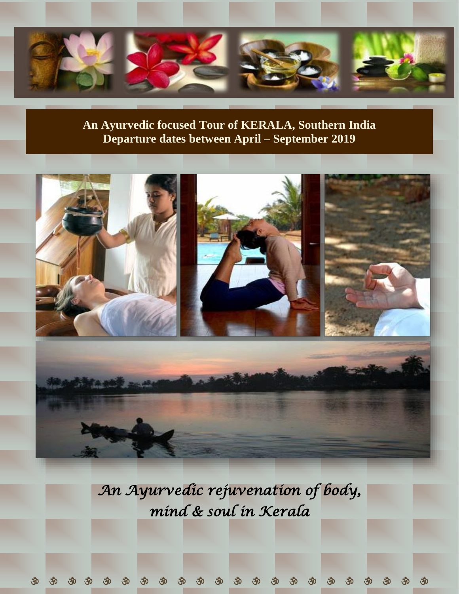

# **An Ayurvedic focused Tour of KERALA, Southern India Departure dates between April – September 2019**



*An Ayurvedic rejuvenation of body, mind & soul in Kerala*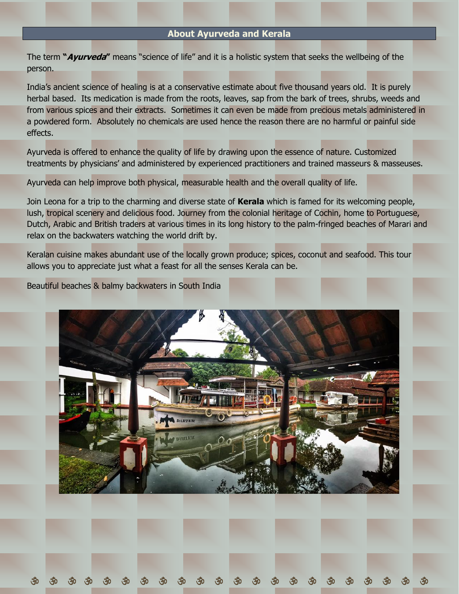# **About Ayurveda and Kerala**

The term **"Ayurveda"** means "science of life" and it is a holistic system that seeks the wellbeing of the person.

India's ancient science of healing is at a conservative estimate about five thousand years old. It is purely herbal based. Its medication is made from the roots, leaves, sap from the bark of trees, shrubs, weeds and from various spices and their extracts. Sometimes it can even be made from precious metals administered in a powdered form. Absolutely no chemicals are used hence the reason there are no harmful or painful side effects.

Ayurveda is offered to enhance the quality of life by drawing upon the essence of nature. Customized treatments by physicians' and administered by experienced practitioners and trained masseurs & masseuses.

Ayurveda can help improve both physical, measurable health and the overall quality of life.

Join Leona for a trip to the charming and diverse state of **Kerala** which is famed for its welcoming people, lush, tropical scenery and delicious food. Journey from the colonial heritage of Cochin, home to Portuguese, Dutch, Arabic and British traders at various times in its long history to the palm-fringed beaches of Marari and relax on the backwaters watching the world drift by.

Keralan cuisine makes abundant use of the locally grown produce; spices, coconut and seafood. This tour allows you to appreciate just what a feast for all the senses Kerala can be.

Beautiful beaches & balmy backwaters in South India

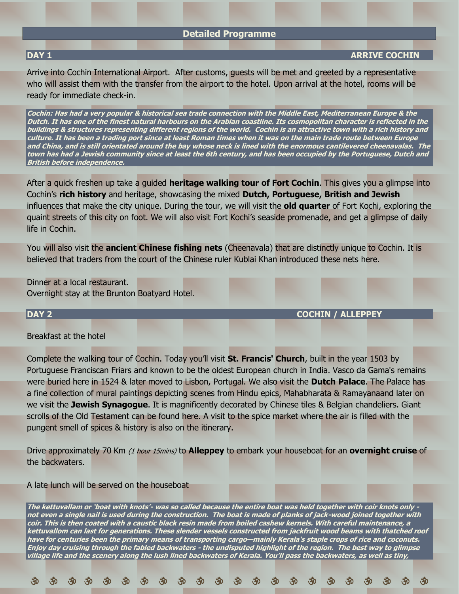### **Detailed Programme**

# **DAY 1 B**  $\overline{DAY}$  **1**  $\overline{DAY}$  **ARRIVE COCHIN**

Arrive into Cochin International Airport. After customs, guests will be met and greeted by a representative who will assist them with the transfer from the airport to the hotel. Upon arrival at the hotel, rooms will be ready for immediate check-in.

**Cochin: Has had a very popular & historical sea trade connection with the Middle East, Mediterranean Europe & the Dutch. It has one of the finest natural harbours on the Arabian coastline. Its cosmopolitan character is reflected in the buildings & structures representing different regions of the world. Cochin is an attractive town with a rich history and culture. It has been a trading port since at least Roman times when it was on the main trade route between Europe and China, and is still orientated around the bay whose neck is lined with the enormous cantilevered cheenavalas. The town has had a Jewish community since at least the 6th century, and has been occupied by the Portuguese, Dutch and British before independence.**

After a quick freshen up take a guided **heritage walking tour of Fort Cochin**. This gives you a glimpse into Cochin's **rich history** and heritage, showcasing the mixed **Dutch, Portuguese, British and Jewish** influences that make the city unique. During the tour, we will visit the **old quarter** of Fort Kochi, exploring the quaint streets of this city on foot. We will also visit Fort Kochi's seaside promenade, and get a glimpse of daily life in Cochin.

You will also visit the **ancient Chinese fishing nets** (Cheenavala) that are distinctly unique to Cochin. It is believed that traders from the court of the Chinese ruler Kublai Khan introduced these nets here.

Dinner at a local restaurant. Overnight stay at the Brunton Boatyard Hotel.

**DAY 2 COCHIN / ALLEPPEY**

Breakfast at the hotel

Complete the walking tour of Cochin. Today you'll visit **St. Francis' Church**, built in the year 1503 by Portuguese Franciscan Friars and known to be the oldest European church in India. Vasco da Gama's remains were buried here in 1524 & later moved to Lisbon, Portugal. We also visit the **Dutch Palace**. The Palace has a fine collection of mural paintings depicting scenes from Hindu epics, Mahabharata & Ramayanaand later on we visit the **Jewish Synagogue**. It is magnificently decorated by Chinese tiles & Belgian chandeliers. Giant scrolls of the Old Testament can be found here. A visit to the spice market where the air is filled with the pungent smell of spices & history is also on the itinerary.

Drive approximately 70 Km (1 hour 15mins) to **Alleppey** to embark your houseboat for an **overnight cruise** of the backwaters.

#### A late lunch will be served on the houseboat

**The kettuvallam or 'boat with knots'- was so called because the entire boat was held together with coir knots only not even a single nail is used during the construction. The boat is made of planks of jack-wood joined together with coir. This is then coated with a caustic black resin made from boiled cashew kernels. With careful maintenance, a kettuvallom can last for generations. These slender vessels constructed from jackfruit wood beams with thatched roof have for centuries been the primary means of transporting cargo—mainly Kerala's staple crops of rice and coconuts. Enjoy day cruising through the fabled backwaters - the undisputed highlight of the region. The best way to glimpse village life and the scenery along the lush lined backwaters of Kerala. You'll pass the backwaters, as well as tiny,**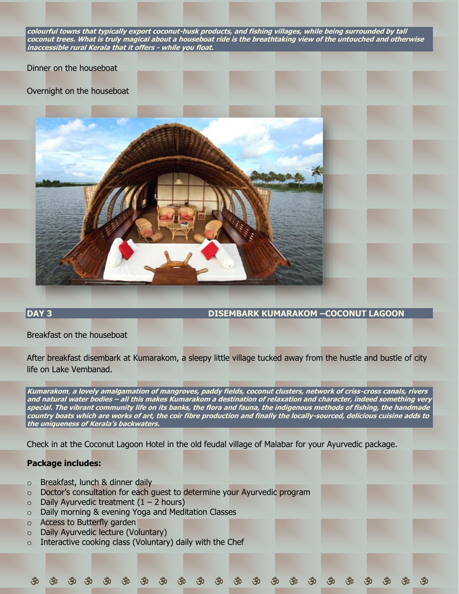**colourful towns that typically export coconut-husk products, and fishing villages, while being surrounded by tall coconut trees. What is truly magical about a houseboat ride is the breathtaking view of the untouched and otherwise inaccessible rural Kerala that it offers - while you float.**

#### Dinner on the houseboat

### Overnight on the houseboat



### **DAY 3 DISEMBARK KUMARAKOM –COCONUT LAGOON**

Breakfast on the houseboat

After breakfast disembark at Kumarakom, a sleepy little village tucked away from the hustle and bustle of city life on Lake Vembanad.

**Kumarakom**, **a lovely amalgamation of mangroves, paddy fields, coconut clusters, network of criss-cross canals, rivers and natural water bodies – all this makes Kumarakom a destination of relaxation and character, indeed something very special. The vibrant community life on its banks, the flora and fauna, the indigenous methods of fishing, the handmade country boats which are works of art, the coir fibre production and finally the locally-sourced, delicious cuisine adds to the uniqueness of Kerala's backwaters.**

Check in at the Coconut Lagoon Hotel in the old feudal village of Malabar for your Ayurvedic package.

# **Package includes:**

- o Breakfast, lunch & dinner daily
- o Doctor's consultation for each guest to determine your Ayurvedic program
- $\circ$  Daily Ayurvedic treatment (1 2 hours)
- o Daily morning & evening Yoga and Meditation Classes
- o Access to Butterfly garden
- o Daily Ayurvedic lecture (Voluntary)
- $\circ$  Interactive cooking class (Voluntary) daily with the Chef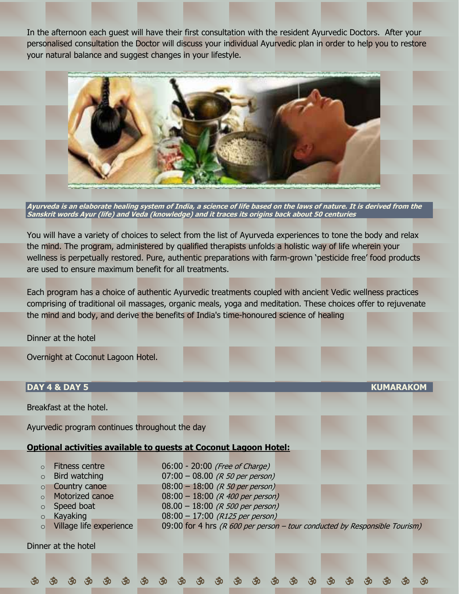In the afternoon each guest will have their first consultation with the resident Ayurvedic Doctors. After your personalised consultation the Doctor will discuss your individual Ayurvedic plan in order to help you to restore your natural balance and suggest changes in your lifestyle.



**Ayurveda is an elaborate healing system of India, a science of life based on the laws of nature. It is derived from the Sanskrit words Ayur (life) and Veda (knowledge) and it traces its origins back about 50 centuries**

You will have a variety of choices to select from the list of Ayurveda experiences to tone the body and relax the mind. The program, administered by qualified therapists unfolds a holistic way of life wherein your wellness is perpetually restored. Pure, authentic preparations with farm-grown 'pesticide free' food products are used to ensure maximum benefit for all treatments.

Each program has a choice of authentic Ayurvedic treatments coupled with ancient Vedic wellness practices comprising of traditional oil massages, organic meals, yoga and meditation. These choices offer to rejuvenate the mind and body, and derive the benefits of India's time-honoured science of healing

Dinner at the hotel

Overnight at Coconut Lagoon Hotel.

| <b>DAY 4 &amp; DAY 5</b>                                                                                                                                                                                       |                                                                                                                                                                                                                           | <b>KUMARAKOM</b>                                                              |
|----------------------------------------------------------------------------------------------------------------------------------------------------------------------------------------------------------------|---------------------------------------------------------------------------------------------------------------------------------------------------------------------------------------------------------------------------|-------------------------------------------------------------------------------|
| Breakfast at the hotel.                                                                                                                                                                                        |                                                                                                                                                                                                                           |                                                                               |
| Ayurvedic program continues throughout the day                                                                                                                                                                 |                                                                                                                                                                                                                           |                                                                               |
| <b>Optional activities available to quests at Coconut Lagoon Hotel:</b>                                                                                                                                        |                                                                                                                                                                                                                           |                                                                               |
| <b>Fitness centre</b><br>$\Omega$<br>Bird watching<br>$\circ$<br>Country canoe<br>$\circ$<br>Motorized canoe<br>$\Omega$<br>Speed boat<br>$\circ$<br>Kayaking<br>$\circ$<br>Village life experience<br>$\circ$ | 06:00 - 20:00 (Free of Charge)<br>$07:00 - 08.00$ (R 50 per person)<br>$08:00 - 18:00$ (R 50 per person)<br>$08:00 - 18:00$ (R 400 per person)<br>$08.00 - 18:00$ (R 500 per person)<br>$08:00 - 17:00$ (R125 per person) | 09:00 for 4 hrs ( $R$ 600 per person – tour conducted by Responsible Tourism) |
| Dinner at the hotel                                                                                                                                                                                            |                                                                                                                                                                                                                           |                                                                               |
|                                                                                                                                                                                                                |                                                                                                                                                                                                                           |                                                                               |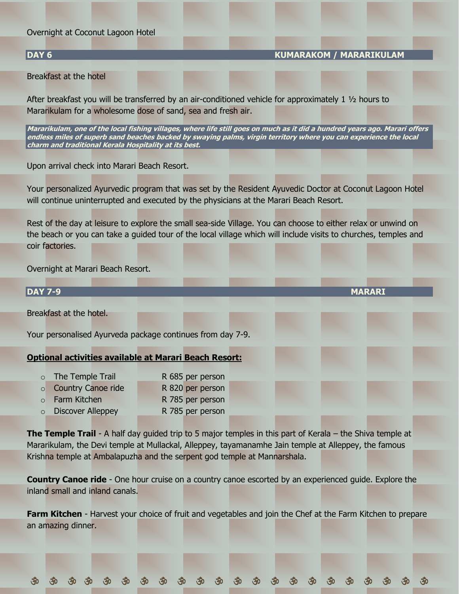### Overnight at Coconut Lagoon Hotel

# **DAY 6 KUMARAKOM / MARARIKULAM**

Breakfast at the hotel

After breakfast you will be transferred by an air-conditioned vehicle for approximately 1 ½ hours to Mararikulam for a wholesome dose of sand, sea and fresh air.

**Mararikulam, one of the local fishing villages, where life still goes on much as it did a hundred years ago. Marari offers endless miles of superb sand beaches backed by swaying palms, virgin territory where you can experience the local charm and traditional Kerala Hospitality at its best.**

Upon arrival check into Marari Beach Resort.

Your personalized Ayurvedic program that was set by the Resident Ayuvedic Doctor at Coconut Lagoon Hotel will continue uninterrupted and executed by the physicians at the Marari Beach Resort.

Rest of the day at leisure to explore the small sea-side Village. You can choose to either relax or unwind on the beach or you can take a guided tour of the local village which will include visits to churches, temples and coir factories.

Overnight at Marari Beach Resort.

| <b>DAY 7-9</b> |                                                              |                  |  | <b>MARARI</b> |  |
|----------------|--------------------------------------------------------------|------------------|--|---------------|--|
|                | Breakfast at the hotel.                                      |                  |  |               |  |
|                | Your personalised Ayurveda package continues from day 7-9.   |                  |  |               |  |
|                | <b>Optional activities available at Marari Beach Resort:</b> |                  |  |               |  |
| $\circ$        | The Temple Trail                                             | R 685 per person |  |               |  |
| $\circ$        | <b>Country Canoe ride</b>                                    | R 820 per person |  |               |  |
| $\circ$        | Farm Kitchen                                                 | R 785 per person |  |               |  |
|                | <b>Discover Alleppey</b>                                     | R 785 per person |  |               |  |

**The Temple Trail** - A half day quided trip to 5 major temples in this part of Kerala – the Shiva temple at Mararikulam, the Devi temple at Mullackal, Alleppey, tayamanamhe Jain temple at Alleppey, the famous Krishna temple at Ambalapuzha and the serpent god temple at Mannarshala.

**Country Canoe ride** - One hour cruise on a country canoe escorted by an experienced guide. Explore the inland small and inland canals.

**Farm Kitchen** - Harvest your choice of fruit and vegetables and join the Chef at the Farm Kitchen to prepare an amazing dinner.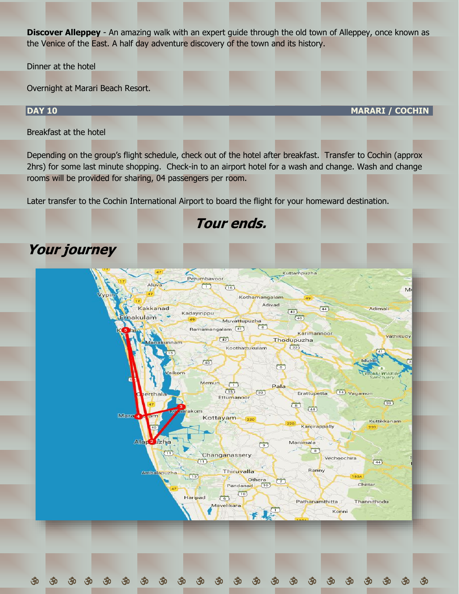**Discover Alleppey** - An amazing walk with an expert guide through the old town of Alleppey, once known as the Venice of the East. A half day adventure discovery of the town and its history.

Dinner at the hotel

Overnight at Marari Beach Resort.

# **DAY 10 MARARI / COCHIN**

Breakfast at the hotel

Depending on the group's flight schedule, check out of the hotel after breakfast. Transfer to Cochin (approx 2hrs) for some last minute shopping. Check-in to an airport hotel for a wash and change. Wash and change rooms will be provided for sharing, 04 passengers per room.

**Tour ends.**

Later transfer to the Cochin International Airport to board the flight for your homeward destination.

# **Your journey**

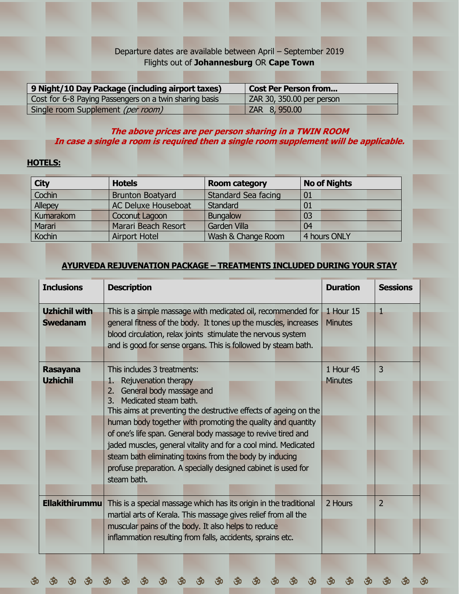# Departure dates are available between April – September 2019 Flights out of **Johannesburg** OR **Cape Town**

| 9 Night/10 Day Package (including airport taxes)       | <b>Cost Per Person from</b> |
|--------------------------------------------------------|-----------------------------|
| Cost for 6-8 Paying Passengers on a twin sharing basis | ZAR 30, 350.00 per person   |
| Single room Supplement (per room)                      | ZAR 8, 950.00               |

# **The above prices are per person sharing in a TWIN ROOM In case a single a room is required then a single room supplement will be applicable.**

# **HOTELS:**

| <b>City</b>   | <b>Hotels</b>              | <b>Room category</b>       | <b>No of Nights</b> |  |
|---------------|----------------------------|----------------------------|---------------------|--|
| Cochin        | <b>Brunton Boatyard</b>    | <b>Standard Sea facing</b> | 01                  |  |
| Allepey       | <b>AC Deluxe Houseboat</b> | <b>Standard</b>            | 01                  |  |
| Kumarakom     | Coconut Lagoon             | <b>Bungalow</b>            | 03                  |  |
| Marari        | Marari Beach Resort        | <b>Garden Villa</b>        | 04                  |  |
| <b>Kochin</b> | <b>Airport Hotel</b>       | Wash & Change Room         | 4 hours ONLY        |  |

# **AYURVEDA REJUVENATION PACKAGE – TREATMENTS INCLUDED DURING YOUR STAY**

| <b>Inclusions</b>                       | <b>Description</b>                                                                                                                                                                                                                                                                                                                                                                                                                                                                                                                        | <b>Duration</b>             | <b>Sessions</b> |
|-----------------------------------------|-------------------------------------------------------------------------------------------------------------------------------------------------------------------------------------------------------------------------------------------------------------------------------------------------------------------------------------------------------------------------------------------------------------------------------------------------------------------------------------------------------------------------------------------|-----------------------------|-----------------|
| <b>Uzhichil with</b><br><b>Swedanam</b> | This is a simple massage with medicated oil, recommended for<br>general fitness of the body. It tones up the muscles, increases<br>blood circulation, relax joints stimulate the nervous system<br>and is good for sense organs. This is followed by steam bath.                                                                                                                                                                                                                                                                          | 1 Hour 15<br><b>Minutes</b> | 1               |
| <b>Rasayana</b><br><b>Uzhichil</b>      | This includes 3 treatments:<br>Rejuvenation therapy<br>$1-$<br>2. General body massage and<br>Medicated steam bath.<br>3.<br>This aims at preventing the destructive effects of ageing on the<br>human body together with promoting the quality and quantity<br>of one's life span. General body massage to revive tired and<br>jaded muscles, general vitality and for a cool mind. Medicated<br>steam bath eliminating toxins from the body by inducing<br>profuse preparation. A specially designed cabinet is used for<br>steam bath. | 1 Hour 45<br><b>Minutes</b> | 3               |
| <b>Ellakithirummu</b>                   | This is a special massage which has its origin in the traditional<br>martial arts of Kerala. This massage gives relief from all the<br>muscular pains of the body. It also helps to reduce<br>inflammation resulting from falls, accidents, sprains etc.                                                                                                                                                                                                                                                                                  | 2 Hours                     | $\overline{2}$  |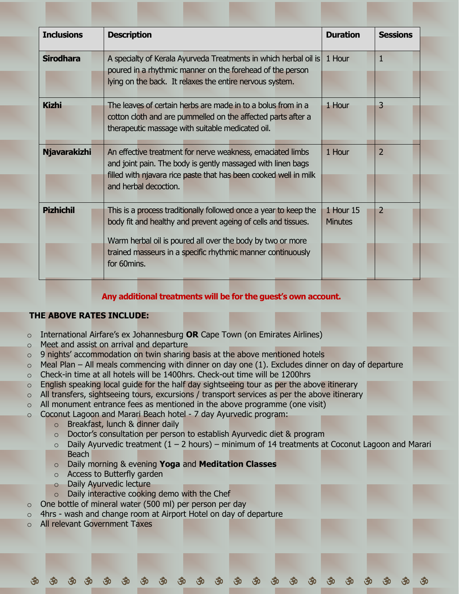| <b>Inclusions</b>   | <b>Description</b>                                                                                                                                                                                                                                                            | <b>Duration</b>             | <b>Sessions</b> |  |
|---------------------|-------------------------------------------------------------------------------------------------------------------------------------------------------------------------------------------------------------------------------------------------------------------------------|-----------------------------|-----------------|--|
| <b>Sirodhara</b>    | A specialty of Kerala Ayurveda Treatments in which herbal oil is<br>poured in a rhythmic manner on the forehead of the person<br>lying on the back. It relaxes the entire nervous system.                                                                                     | 1 Hour                      | 1               |  |
| <b>Kizhi</b>        | The leaves of certain herbs are made in to a bolus from in a<br>cotton cloth and are pummelled on the affected parts after a<br>therapeutic massage with suitable medicated oil.                                                                                              | 1 Hour                      | 3               |  |
| <b>Njavarakizhi</b> | An effective treatment for nerve weakness, emaciated limbs<br>and joint pain. The body is gently massaged with linen bags<br>filled with njavara rice paste that has been cooked well in milk<br>and herbal decoction.                                                        | 1 Hour                      | $\overline{2}$  |  |
| <b>Pizhichil</b>    | This is a process traditionally followed once a year to keep the<br>body fit and healthy and prevent ageing of cells and tissues.<br>Warm herbal oil is poured all over the body by two or more<br>trained masseurs in a specific rhythmic manner continuously<br>for 60mins. | 1 Hour 15<br><b>Minutes</b> | $\overline{2}$  |  |

# **Any additional treatments will be for the guest's own account.**

# **THE ABOVE RATES INCLUDE:**

- o International Airfare's ex Johannesburg **OR** Cape Town (on Emirates Airlines)
- o Meet and assist on arrival and departure
- $\circ$  9 nights' accommodation on twin sharing basis at the above mentioned hotels
- $\circ$  Meal Plan All meals commencing with dinner on day one (1). Excludes dinner on day of departure
- $\circ$  Check-in time at all hotels will be 1400hrs. Check-out time will be 1200hrs
- $\circ$  English speaking local guide for the half day sightseeing tour as per the above itinerary
- $\circ$  All transfers, sightseeing tours, excursions / transport services as per the above itinerary
- $\circ$  All monument entrance fees as mentioned in the above programme (one visit)
- $\circ$  Coconut Lagoon and Marari Beach hotel 7 day Ayurvedic program:
	- o Breakfast, lunch & dinner daily
	- o Doctor's consultation per person to establish Ayurvedic diet & program
	- $\circ$  Daily Ayurvedic treatment (1 2 hours) minimum of 14 treatments at Coconut Lagoon and Marari **Beach**

- o Daily morning & evening **Yoga** and **Meditation Classes**
- o Access to Butterfly garden
- o Daily Ayurvedic lecture
- o Daily interactive cooking demo with the Chef
- o One bottle of mineral water (500 ml) per person per day
- $\circ$  4hrs wash and change room at Airport Hotel on day of departure
- o All relevant Government Taxes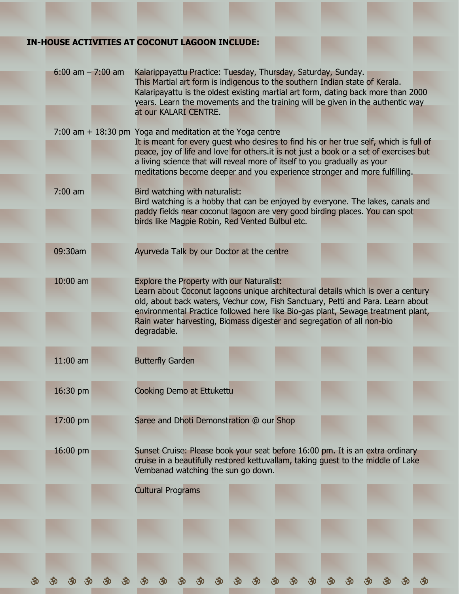# **IN-HOUSE ACTIVITIES AT COCONUT LAGOON INCLUDE:**

| $6:00$ am $-7:00$ am | Kalarippayattu Practice: Tuesday, Thursday, Saturday, Sunday.<br>This Martial art form is indigenous to the southern Indian state of Kerala.<br>Kalaripayattu is the oldest existing martial art form, dating back more than 2000<br>years. Learn the movements and the training will be given in the authentic way<br>at our KALARI CENTRE.                                                                |
|----------------------|-------------------------------------------------------------------------------------------------------------------------------------------------------------------------------------------------------------------------------------------------------------------------------------------------------------------------------------------------------------------------------------------------------------|
|                      | 7:00 am $+$ 18:30 pm Yoga and meditation at the Yoga centre<br>It is meant for every quest who desires to find his or her true self, which is full of<br>peace, joy of life and love for others. it is not just a book or a set of exercises but<br>a living science that will reveal more of itself to you gradually as your<br>meditations become deeper and you experience stronger and more fulfilling. |
| $7:00$ am            | Bird watching with naturalist:<br>Bird watching is a hobby that can be enjoyed by everyone. The lakes, canals and<br>paddy fields near coconut lagoon are very good birding places. You can spot<br>birds like Magpie Robin, Red Vented Bulbul etc.                                                                                                                                                         |
| 09:30am              | Ayurveda Talk by our Doctor at the centre                                                                                                                                                                                                                                                                                                                                                                   |
| $10:00$ am           | Explore the Property with our Naturalist:<br>Learn about Coconut lagoons unique architectural details which is over a century<br>old, about back waters, Vechur cow, Fish Sanctuary, Petti and Para. Learn about<br>environmental Practice followed here like Bio-gas plant, Sewage treatment plant,<br>Rain water harvesting, Biomass digester and segregation of all non-bio<br>degradable.               |
| $11:00$ am           | <b>Butterfly Garden</b>                                                                                                                                                                                                                                                                                                                                                                                     |
| 16:30 pm             | <b>Cooking Demo at Ettukettu</b>                                                                                                                                                                                                                                                                                                                                                                            |
| 17:00 pm             | Saree and Dhoti Demonstration @ our Shop                                                                                                                                                                                                                                                                                                                                                                    |
| 16:00 pm             | Sunset Cruise: Please book your seat before 16:00 pm. It is an extra ordinary<br>cruise in a beautifully restored kettuvallam, taking guest to the middle of Lake<br>Vembanad watching the sun go down.                                                                                                                                                                                                     |
|                      | <b>Cultural Programs</b>                                                                                                                                                                                                                                                                                                                                                                                    |
|                      |                                                                                                                                                                                                                                                                                                                                                                                                             |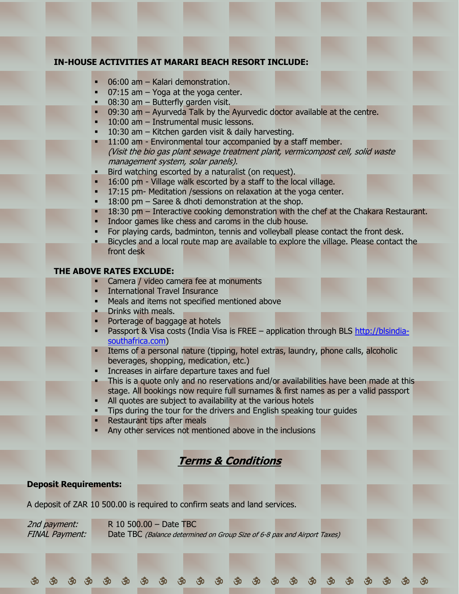# **IN-HOUSE ACTIVITIES AT MARARI BEACH RESORT INCLUDE:**

- $06:00$  am Kalari demonstration.
- $07:15$  am  $-$  Yoga at the yoga center.
- **08:30 am Butterfly garden visit.**
- $09:30$  am Ayurveda Talk by the Ayurvedic doctor available at the centre.
- $10:00$  am Instrumental music lessons.
- 10:30 am  $-$  Kitchen garden visit & daily harvesting.
- 11:00 am Environmental tour accompanied by a staff member. (Visit the bio gas plant sewage treatment plant, vermicompost cell, solid waste management system, solar panels).
- Bird watching escorted by a naturalist (on request).
- 16:00 pm Village walk escorted by a staff to the local village.
- 17:15 pm- Meditation / sessions on relaxation at the yoga center.
- $18:00$  pm Saree & dhoti demonstration at the shop.
- 18:30 pm Interactive cooking demonstration with the chef at the Chakara Restaurant.
- Indoor games like chess and caroms in the club house.
- For playing cards, badminton, tennis and volleyball please contact the front desk.
- Bicycles and a local route map are available to explore the village. Please contact the front desk

### **THE ABOVE RATES EXCLUDE:**

- **Camera / video camera fee at monuments**
- **International Travel Insurance**
- **■** Meals and items not specified mentioned above
- **•** Drinks with meals.
- Porterage of baggage at hotels
- Passport & Visa costs (India Visa is FREE application through BLS [http://blsindia](http://blsindia-southafrica.com/)[southafrica.com\)](http://blsindia-southafrica.com/)
- Items of a personal nature (tipping, hotel extras, laundry, phone calls, alcoholic beverages, shopping, medication, etc.)
- Increases in airfare departure taxes and fuel
- This is a quote only and no reservations and/or availabilities have been made at this stage. All bookings now require full surnames & first names as per a valid passport
- All quotes are subject to availability at the various hotels
- Tips during the tour for the drivers and English speaking tour guides
- **Restaurant tips after meals**
- Any other services not mentioned above in the inclusions

# **Terms & Conditions**

# **Deposit Requirements:**

A deposit of ZAR 10 500.00 is required to confirm seats and land services.

2nd payment:  $R$  10 500.00 – Date TBC FINAL Payment: Date TBC (Balance determined on Group Size of 6-8 pax and Airport Taxes)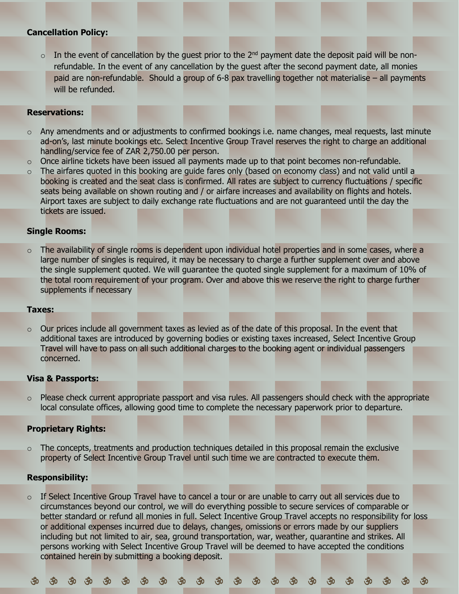# **Cancellation Policy:**

In the event of cancellation by the quest prior to the  $2<sup>nd</sup>$  payment date the deposit paid will be nonrefundable. In the event of any cancellation by the guest after the second payment date, all monies paid are non-refundable. Should a group of 6-8 pax travelling together not materialise – all payments will be refunded.

# **Reservations:**

- $\circ$  Any amendments and or adjustments to confirmed bookings i.e. name changes, meal requests, last minute ad-on's, last minute bookings etc. Select Incentive Group Travel reserves the right to charge an additional handling/service fee of ZAR 2,750.00 per person.
- $\circ$  Once airline tickets have been issued all payments made up to that point becomes non-refundable.
- $\circ$  The airfares quoted in this booking are guide fares only (based on economy class) and not valid until a booking is created and the seat class is confirmed. All rates are subject to currency fluctuations / specific seats being available on shown routing and / or airfare increases and availability on flights and hotels. Airport taxes are subject to daily exchange rate fluctuations and are not guaranteed until the day the tickets are issued.

# **Single Rooms:**

 $\circ$  The availability of single rooms is dependent upon individual hotel properties and in some cases, where a large number of singles is required, it may be necessary to charge a further supplement over and above the single supplement quoted. We will guarantee the quoted single supplement for a maximum of 10% of the total room requirement of your program. Over and above this we reserve the right to charge further supplements if necessary

#### **Taxes:**

 $\circ$  Our prices include all government taxes as levied as of the date of this proposal. In the event that additional taxes are introduced by governing bodies or existing taxes increased, Select Incentive Group Travel will have to pass on all such additional charges to the booking agent or individual passengers concerned.

# **Visa & Passports:**

 $\circ$  Please check current appropriate passport and visa rules. All passengers should check with the appropriate local consulate offices, allowing good time to complete the necessary paperwork prior to departure.

# **Proprietary Rights:**

 $\circ$  The concepts, treatments and production techniques detailed in this proposal remain the exclusive property of Select Incentive Group Travel until such time we are contracted to execute them.

# **Responsibility:**

 $\circ$  If Select Incentive Group Travel have to cancel a tour or are unable to carry out all services due to circumstances beyond our control, we will do everything possible to secure services of comparable or better standard or refund all monies in full. Select Incentive Group Travel accepts no responsibility for loss or additional expenses incurred due to delays, changes, omissions or errors made by our suppliers including but not limited to air, sea, ground transportation, war, weather, quarantine and strikes. All persons working with Select Incentive Group Travel will be deemed to have accepted the conditions contained herein by submitting a booking deposit.